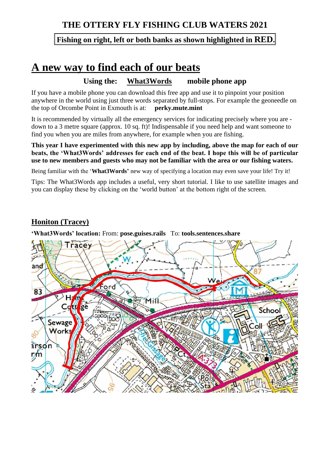## **THE OTTERY FLY FISHING CLUB WATERS 2021**

#### **Fishing on right, left or both banks as shown highlighted in RED.**

# **A new way to find each of our beats**

#### **Using the: What3Words mobile phone app**

If you have a mobile phone you can download this free app and use it to pinpoint your position anywhere in the world using just three words separated by full-stops. For example the geoneedle on the top of Orcombe Point in Exmouth is at: **perky.mute.mint**

It is recommended by virtually all the emergency services for indicating precisely where you are down to a 3 metre square (approx. 10 sq. ft)! Indispensable if you need help and want someone to find you when you are miles from anywhere, for example when you are fishing.

**This year I have experimented with this new app by including, above the map for each of our beats, the 'What3Words' addresses for each end of the beat. I hope this will be of particular use to new members and guests who may not be familiar with the area or our fishing waters.**

Being familiar with the '**What3Words'** new way of specifying a location may even save your life! Try it!

Tips: The What3Words app includes a useful, very short tutorial. I like to use satellite images and you can display these by clicking on the 'world button' at the bottom right of the screen.

### **Honiton (Tracey)**

**'What3Words' location:** From: **pose.guises.rails** To: **tools.sentences.share**

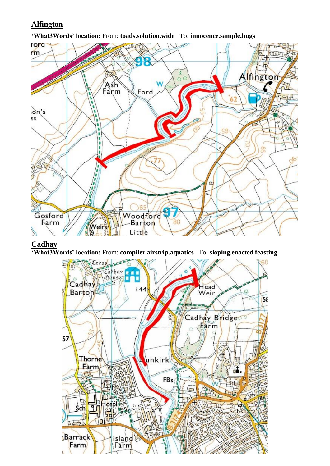### **Alfington**

**'What3Words' location:** From: **toads.solution.wide** To: **innocence.sample.hugs**



#### **Cadhay**

**'What3Words' location:** From: **compiler.airstrip.aquatics** To: **sloping.enacted.feasting**